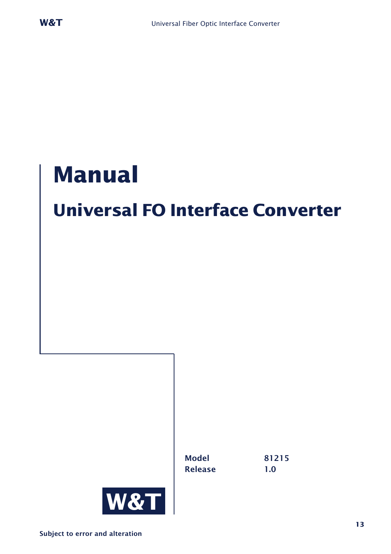# **Manual**

## **Universal FO Interface Converter**

Model 81215 Release 1.0

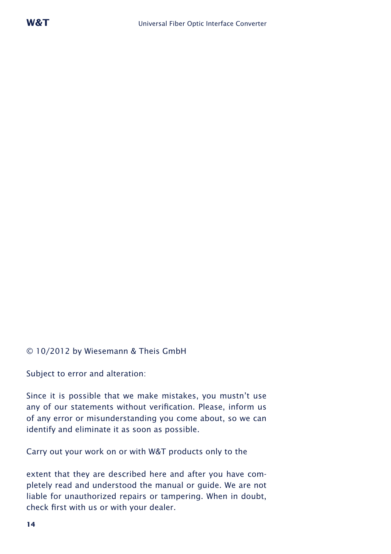#### © 10/2012 by Wiesemann & Theis GmbH

Subject to error and alteration:

Since it is possible that we make mistakes, you mustn't use any of our statements without verification. Please, inform us of any error or misunderstanding you come about, so we can identify and eliminate it as soon as possible.

Carry out your work on or with W&T products only to the

extent that they are described here and after you have completely read and understood the manual or guide. We are not liable for unauthorized repairs or tampering. When in doubt, check first with us or with your dealer.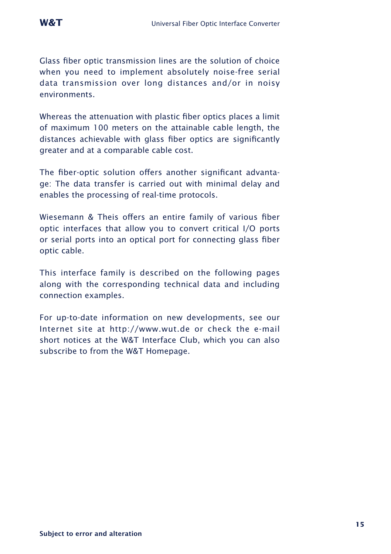Glass fiber optic transmission lines are the solution of choice when you need to implement absolutely noise-free serial data transmission over long distances and/or in noisy environments.

Whereas the attenuation with plastic fiber optics places a limit of maximum 100 meters on the attainable cable length, the distances achievable with glass fiber optics are significantly greater and at a comparable cable cost.

The fiber-optic solution offers another significant advantage: The data transfer is carried out with minimal delay and enables the processing of real-time protocols.

Wiesemann & Theis offers an entire family of various fiber optic interfaces that allow you to convert critical I/O ports or serial ports into an optical port for connecting glass fiber optic cable.

This interface family is described on the following pages along with the corresponding technical data and including connection examples.

For up-to-date information on new developments, see our Internet site at http://www.wut.de or check the e-mail short notices at the W&T Interface Club, which you can also subscribe to from the W&T Homepage.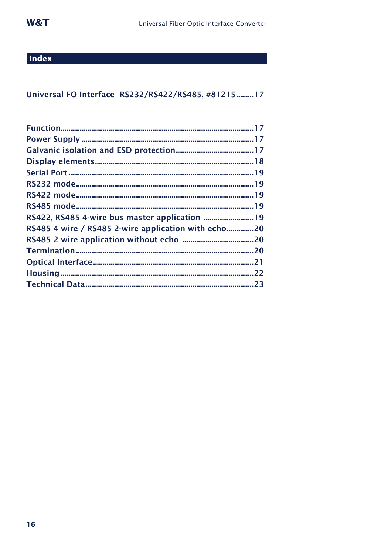## Index

## Universal FO Interface RS232/RS422/RS485, #81215 ......... 17

| RS422, RS485 4-wire bus master application  19      |  |
|-----------------------------------------------------|--|
| RS485 4 wire / RS485 2-wire application with echo20 |  |
|                                                     |  |
|                                                     |  |
|                                                     |  |
|                                                     |  |
|                                                     |  |
|                                                     |  |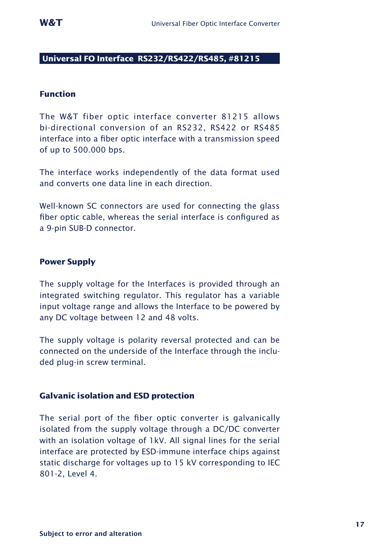#### **Universal FO Interface RS232/RS422/RS485, #81215**

#### **Function**

The W&T fiber optic interface converter 81215 allows bi-directional conversion of an RS232, RS422 or RS485 interface into a fiber optic interface with a transmission speed of up to 500.000 bps.

The interface works independently of the data format used and converts one data line in each direction.

Well-known SC connectors are used for connecting the glass fiber optic cable, whereas the serial interface is configured as a 9-pin SUB-D connector.

#### **Power Supply**

The supply voltage for the Interfaces is provided through an integrated switching regulator. This regulator has a variable input voltage range and allows the Interface to be powered by any DC voltage between 12 and 48 volts.

The supply voltage is polarity reversal protected and can be connected on the underside of the Interface through the included plug-in screw terminal.

#### **Galvanic isolation and ESD protection**

The serial port of the fiber optic converter is galvanically isolated from the supply voltage through a DC/DC converter with an isolation voltage of 1kV. All signal lines for the serial interface are protected by ESD-immune interface chips against static discharge for voltages up to 15 kV corresponding to IEC 801-2, Level 4.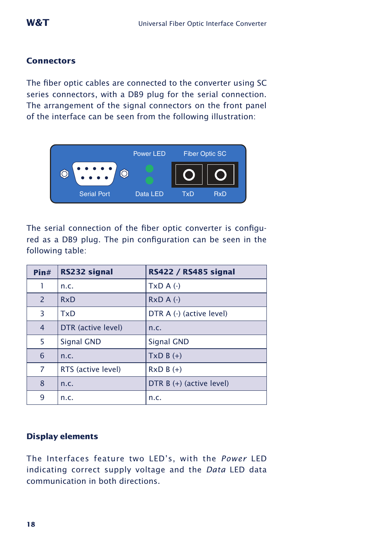#### **Connectors**

The fiber optic cables are connected to the converter using SC series connectors, with a DB9 plug for the serial connection. The arrangement of the signal connectors on the front panel of the interface can be seen from the following illustration:



The serial connection of the fiber optic converter is configured as a DB9 plug. The pin configuration can be seen in the following table:

| $P$ in#        | RS232 signal       | <b>RS422 / RS485 signal</b> |
|----------------|--------------------|-----------------------------|
| 1              | n.c.               | $TxD A$ $(-)$               |
| $\mathcal{P}$  | RxD                | $RxDA$ (-)                  |
| 3              | TxD                | DTR A (-) (active level)    |
| $\overline{4}$ | DTR (active level) | n.c.                        |
| 5              | <b>Signal GND</b>  | <b>Signal GND</b>           |
| 6              | n.c.               | $TxD B (+)$                 |
| 7              | RTS (active level) | $RxDB (+)$                  |
| 8              | n.c.               | DTR $B (+)$ (active level)  |
| 9              | n.c.               | n.c.                        |

#### **Display elements**

The Interfaces feature two LED's, with the *Power* LED indicating correct supply voltage and the *Data* LED data communication in both directions.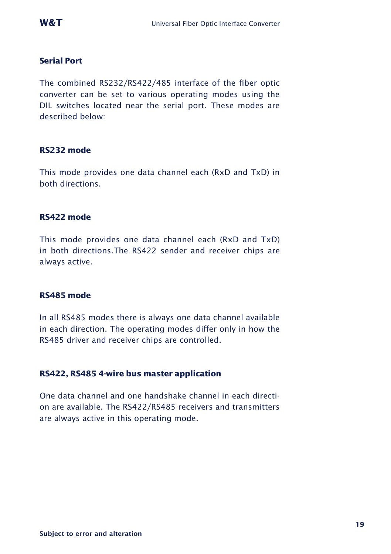#### **Serial Port**

The combined RS232/RS422/485 interface of the fiber optic converter can be set to various operating modes using the DIL switches located near the serial port. These modes are described below:

#### **RS232 mode**

This mode provides one data channel each (RxD and TxD) in both directions.

#### **RS422 mode**

This mode provides one data channel each (RxD and TxD) in both directions.The RS422 sender and receiver chips are always active.

#### **RS485 mode**

In all RS485 modes there is always one data channel available in each direction. The operating modes differ only in how the RS485 driver and receiver chips are controlled.

#### **RS422, RS485 4-wire bus master application**

One data channel and one handshake channel in each direction are available. The RS422/RS485 receivers and transmitters are always active in this operating mode.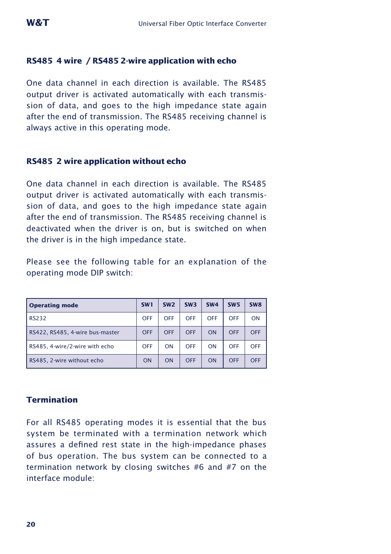#### **RS485 4 wire / RS485 2-wire application with echo**

One data channel in each direction is available. The RS485 output driver is activated automatically with each transmission of data, and goes to the high impedance state again after the end of transmission. The RS485 receiving channel is always active in this operating mode.

#### **RS485 2 wire application without echo**

One data channel in each direction is available. The RS485 output driver is activated automatically with each transmission of data, and goes to the high impedance state again after the end of transmission. The RS485 receiving channel is deactivated when the driver is on, but is switched on when the driver is in the high impedance state.

Please see the following table for an explanation of the operating mode DIP switch:

| <b>Operating mode</b>           | SW <sub>1</sub> | SW <sub>2</sub> | SW3        | <b>SW4</b> | SW <sub>5</sub> | SW <sub>8</sub> |
|---------------------------------|-----------------|-----------------|------------|------------|-----------------|-----------------|
| <b>RS232</b>                    | <b>OFF</b>      | OFF             | OFF        | OFF        | <b>OFF</b>      | ON              |
| RS422, RS485, 4-wire bus-master | <b>OFF</b>      | <b>OFF</b>      | <b>OFF</b> | ON         | <b>OFF</b>      | <b>OFF</b>      |
| RS485, 4-wire/2-wire with echo  | <b>OFF</b>      | ON              | OFF        | ON         | <b>OFF</b>      | OFF             |
| RS485, 2-wire without echo      | <b>ON</b>       | ON              | <b>OFF</b> | ON         | <b>OFF</b>      | <b>OFF</b>      |

#### **Termination**

For all RS485 operating modes it is essential that the bus system be terminated with a termination network which assures a defined rest state in the high-impedance phases of bus operation. The bus system can be connected to a termination network by closing switches #6 and #7 on the interface module: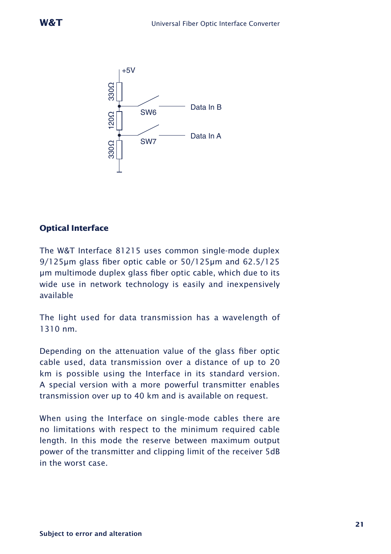

#### **Optical Interface**

The W&T Interface 81215 uses common single-mode duplex 9/125µm glass fiber optic cable or 50/125µm and 62.5/125 µm multimode duplex glass fiber optic cable, which due to its wide use in network technology is easily and inexpensively available

The light used for data transmission has a wavelength of 1310 nm.

Depending on the attenuation value of the glass fiber optic cable used, data transmission over a distance of up to 20 km is possible using the Interface in its standard version. A special version with a more powerful transmitter enables transmission over up to 40 km and is available on request.

When using the Interface on single-mode cables there are no limitations with respect to the minimum required cable length. In this mode the reserve between maximum output power of the transmitter and clipping limit of the receiver 5dB in the worst case.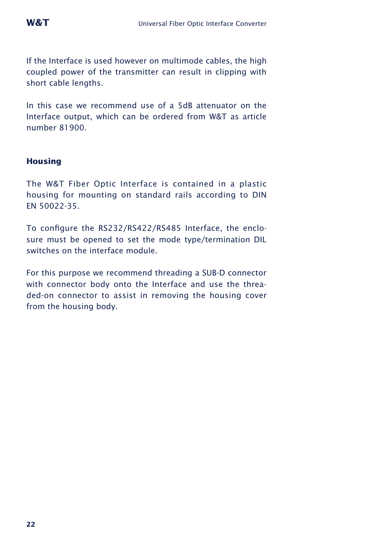

If the Interface is used however on multimode cables, the high coupled power of the transmitter can result in clipping with short cable lengths.

In this case we recommend use of a 5dB attenuator on the Interface output, which can be ordered from W&T as article number 81900.

#### **Housing**

The W&T Fiber Optic Interface is contained in a plastic housing for mounting on standard rails according to DIN EN 50022-35.

To configure the RS232/RS422/RS485 Interface, the enclosure must be opened to set the mode type/termination DIL switches on the interface module.

For this purpose we recommend threading a SUB-D connector with connector body onto the Interface and use the threaded-on connector to assist in removing the housing cover from the housing body.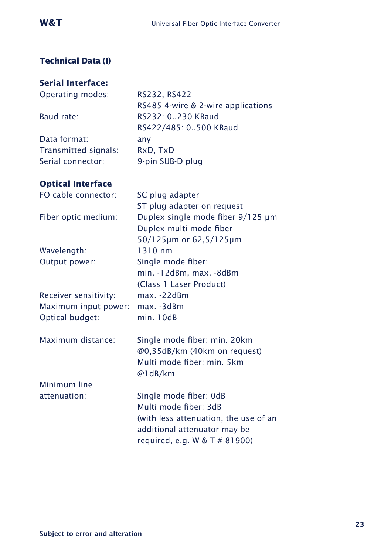## **Technical Data (I)**

### **Serial Interface:**

| Operating modes:     | RS232, RS422                       |
|----------------------|------------------------------------|
|                      | RS485 4-wire & 2-wire applications |
| Baud rate:           | RS232: 0230 KBaud                  |
|                      | RS422/485: 0500 KBaud              |
| Data format:         | any                                |
| Transmitted signals: | RxD, TxD                           |
| Serial connector:    | 9-pin SUB-D plug                   |
|                      |                                    |

#### **Optical Interface**

| FO cable connector:   | SC plug adapter                       |
|-----------------------|---------------------------------------|
|                       | ST plug adapter on request            |
| Fiber optic medium:   | Duplex single mode fiber 9/125 µm     |
|                       | Duplex multi mode fiber               |
|                       | 50/125µm or 62,5/125µm                |
| Wavelength:           | 1310 nm                               |
| Output power:         | Single mode fiber:                    |
|                       | $min. -12dBm, max. -8dBm$             |
|                       | (Class 1 Laser Product)               |
| Receiver sensitivity: | $max. -22dBm$                         |
| Maximum input power:  | $max. -3dBm$                          |
| Optical budget:       | min. 10dB                             |
| Maximum distance:     | Single mode fiber: min. 20km          |
|                       | @0,35dB/km (40km on request)          |
|                       | Multi mode fiber: min. 5km            |
|                       | @1dB/km                               |
| Minimum line          |                                       |
| attenuation:          | Single mode fiber: OdB                |
|                       | Multi mode fiber: 3dB                 |
|                       | (with less attenuation, the use of an |
|                       | additional attenuator may be          |
|                       | required, e.g. W $& 1 \# 81900$       |
|                       |                                       |